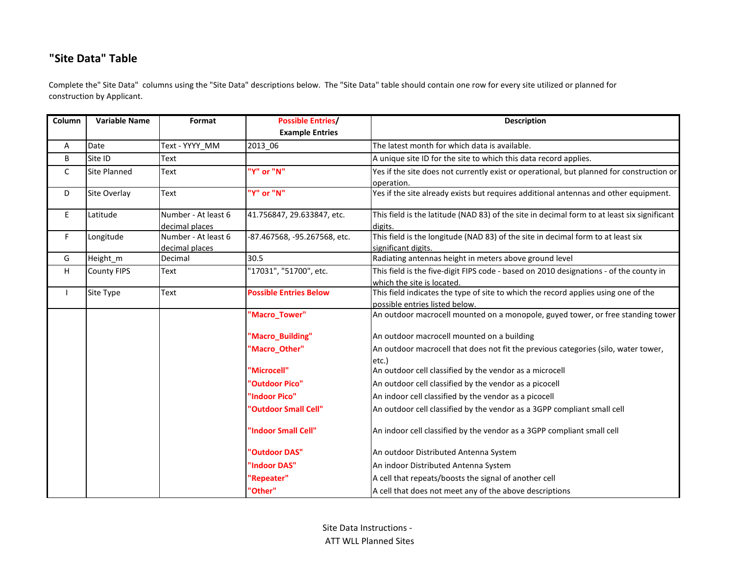## **"Site Data" Table**

Complete the" Site Data" columns using the "Site Data" descriptions below. The "Site Data" table should contain one row for every site utilized or planned for construction by Applicant.

| Column       | <b>Variable Name</b><br>Format                       |                                                     | <b>Possible Entries/</b>   | <b>Description</b>                                                                          |  |  |  |  |  |
|--------------|------------------------------------------------------|-----------------------------------------------------|----------------------------|---------------------------------------------------------------------------------------------|--|--|--|--|--|
|              |                                                      |                                                     | <b>Example Entries</b>     |                                                                                             |  |  |  |  |  |
| Α            | Date                                                 | Text - YYYY_MM                                      | 2013 06                    | The latest month for which data is available.                                               |  |  |  |  |  |
| B            | Site ID                                              | Text                                                |                            | A unique site ID for the site to which this data record applies.                            |  |  |  |  |  |
| $\mathsf C$  | <b>Site Planned</b>                                  | Text                                                | 'Y" or "N"                 | Yes if the site does not currently exist or operational, but planned for construction or    |  |  |  |  |  |
|              |                                                      |                                                     |                            | operation.                                                                                  |  |  |  |  |  |
| D            | Site Overlay                                         | Text                                                | 'Y" or "N"                 | Yes if the site already exists but requires additional antennas and other equipment.        |  |  |  |  |  |
| E.           | Latitude                                             | Number - At least 6                                 | 41.756847, 29.633847, etc. | This field is the latitude (NAD 83) of the site in decimal form to at least six significant |  |  |  |  |  |
|              |                                                      | decimal places                                      |                            | digits.                                                                                     |  |  |  |  |  |
| F            | Longitude                                            | Number - At least 6<br>-87.467568, -95.267568, etc. |                            | This field is the longitude (NAD 83) of the site in decimal form to at least six            |  |  |  |  |  |
|              |                                                      | decimal places                                      |                            | significant digits.                                                                         |  |  |  |  |  |
| G            | Height_m                                             | Decimal                                             | 30.5                       | Radiating antennas height in meters above ground level                                      |  |  |  |  |  |
| H            | '17031", "51700", etc.<br><b>County FIPS</b><br>Text |                                                     |                            | This field is the five-digit FIPS code - based on 2010 designations - of the county in      |  |  |  |  |  |
|              |                                                      |                                                     |                            | which the site is located.                                                                  |  |  |  |  |  |
| $\mathbf{I}$ | <b>Possible Entries Below</b><br>Site Type<br>Text   |                                                     |                            | This field indicates the type of site to which the record applies using one of the          |  |  |  |  |  |
|              |                                                      |                                                     |                            | possible entries listed below.                                                              |  |  |  |  |  |
|              |                                                      |                                                     | 'Macro_Tower"              | An outdoor macrocell mounted on a monopole, guyed tower, or free standing tower             |  |  |  |  |  |
|              |                                                      |                                                     | 'Macro_Building"           | An outdoor macrocell mounted on a building                                                  |  |  |  |  |  |
|              |                                                      | 'Macro_Other"                                       |                            | An outdoor macrocell that does not fit the previous categories (silo, water tower,          |  |  |  |  |  |
|              |                                                      |                                                     |                            | etc.)                                                                                       |  |  |  |  |  |
|              |                                                      |                                                     | "Microcell"                | An outdoor cell classified by the vendor as a microcell                                     |  |  |  |  |  |
|              | "Outdoor Pico"                                       |                                                     |                            | An outdoor cell classified by the vendor as a picocell                                      |  |  |  |  |  |
|              | 'Indoor Pico"                                        |                                                     |                            | An indoor cell classified by the vendor as a picocell                                       |  |  |  |  |  |
|              |                                                      |                                                     | "Outdoor Small Cell"       | An outdoor cell classified by the vendor as a 3GPP compliant small cell                     |  |  |  |  |  |
|              |                                                      |                                                     | 'Indoor Small Cell"        | An indoor cell classified by the vendor as a 3GPP compliant small cell                      |  |  |  |  |  |
|              |                                                      |                                                     | 'Outdoor DAS"              | An outdoor Distributed Antenna System                                                       |  |  |  |  |  |
|              |                                                      |                                                     | <b>Indoor DAS"</b>         | An indoor Distributed Antenna System                                                        |  |  |  |  |  |
|              |                                                      |                                                     | 'Repeater"                 | A cell that repeats/boosts the signal of another cell                                       |  |  |  |  |  |
|              |                                                      |                                                     | "Other"                    | A cell that does not meet any of the above descriptions                                     |  |  |  |  |  |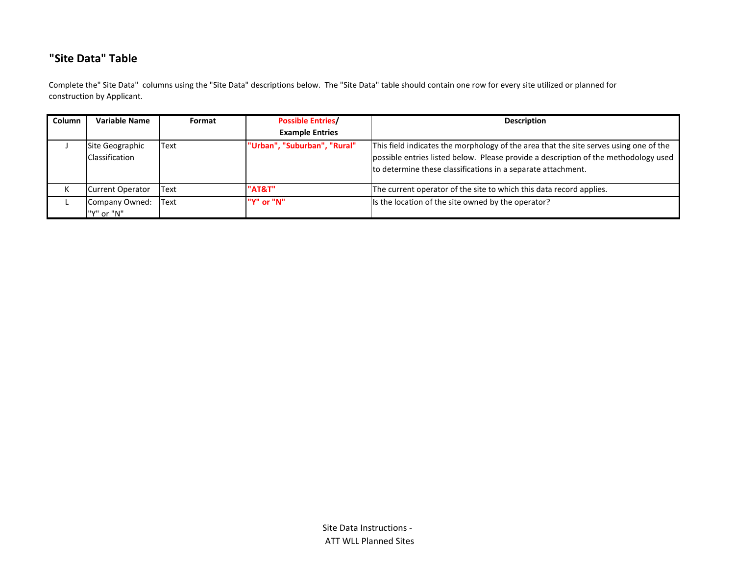## **"Site Data" Table**

Complete the" Site Data" columns using the "Site Data" descriptions below. The "Site Data" table should contain one row for every site utilized or planned for construction by Applicant.

| Column | <b>Variable Name</b>              | Format       | <b>Possible Entries/</b><br><b>Example Entries</b> | <b>Description</b>                                                                                                                                                                                                                           |  |  |  |  |
|--------|-----------------------------------|--------------|----------------------------------------------------|----------------------------------------------------------------------------------------------------------------------------------------------------------------------------------------------------------------------------------------------|--|--|--|--|
|        |                                   |              |                                                    |                                                                                                                                                                                                                                              |  |  |  |  |
|        | Site Geographic<br>Classification | Text         | "Urban", "Suburban", "Rural"                       | This field indicates the morphology of the area that the site serves using one of the<br>possible entries listed below. Please provide a description of the methodology used<br>to determine these classifications in a separate attachment. |  |  |  |  |
|        | Current Operator                  | Text         | "AT&T"                                             | The current operator of the site to which this data record applies.                                                                                                                                                                          |  |  |  |  |
|        | Company Owned:                    | <b>IText</b> | "Y" or "N"                                         | Is the location of the site owned by the operator?                                                                                                                                                                                           |  |  |  |  |
|        | "Y" or "N"                        |              |                                                    |                                                                                                                                                                                                                                              |  |  |  |  |